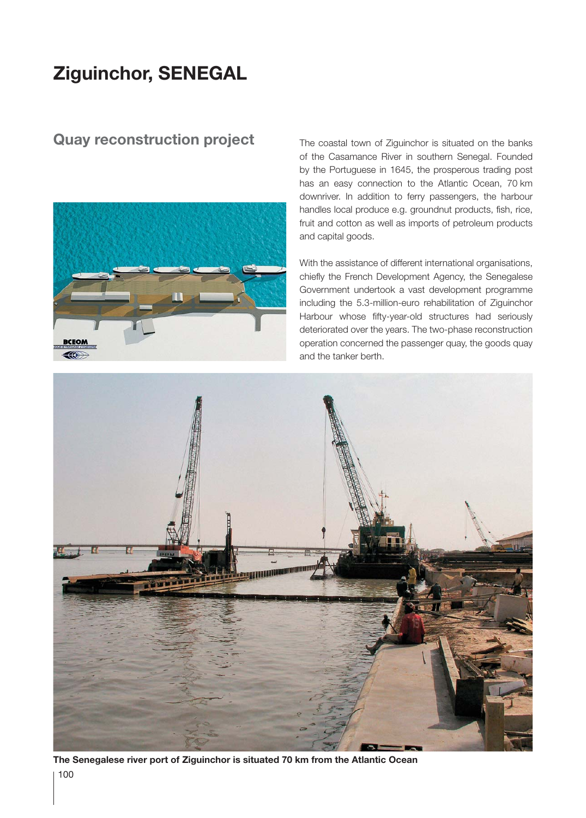## **Ziguinchor, SENEGAL**

## **Quay reconstruction project**



The coastal town of Ziguinchor is situated on the banks of the Casamance River in southern Senegal. Founded by the Portuguese in 1645, the prosperous trading post has an easy connection to the Atlantic Ocean, 70 km downriver. In addition to ferry passengers, the harbour handles local produce e.g. groundnut products, fish, rice, fruit and cotton as well as imports of petroleum products and capital goods.

With the assistance of different international organisations, chiefly the French Development Agency, the Senegalese Government undertook a vast development programme including the 5.3-million-euro rehabilitation of Ziguinchor Harbour whose fifty-year-old structures had seriously deteriorated over the years. The two-phase reconstruction operation concerned the passenger quay, the goods quay and the tanker berth.



**The Senegalese river port of Ziguinchor is situated 70 km from the Atlantic Ocean**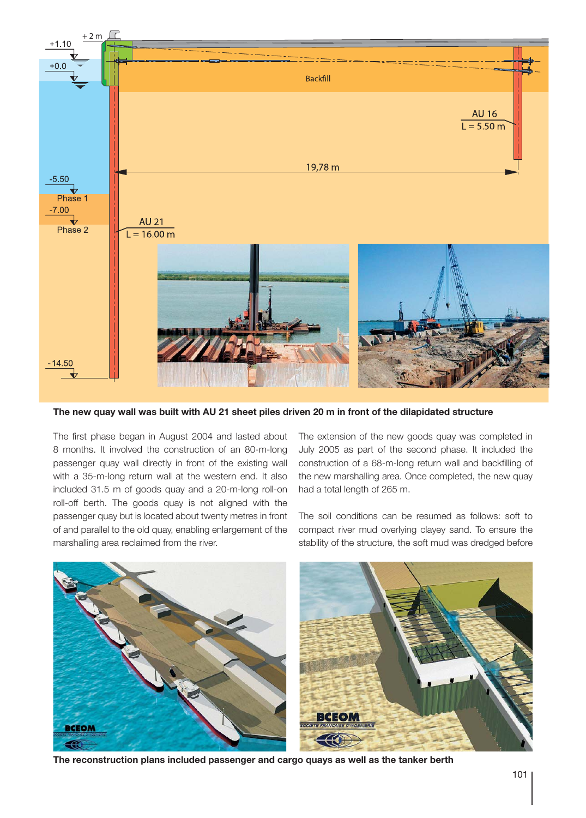

**The new quay wall was built with AU 21 sheet piles driven 20 m in front of the dilapidated structure**

The first phase began in August 2004 and lasted about 8 months. It involved the construction of an 80-m-long passenger quay wall directly in front of the existing wall with a 35-m-long return wall at the western end. It also included 31.5 m of goods quay and a 20-m-long roll-on roll-off berth. The goods quay is not aligned with the passenger quay but is located about twenty metres in front of and parallel to the old quay, enabling enlargement of the marshalling area reclaimed from the river.

The extension of the new goods quay was completed in July 2005 as part of the second phase. It included the construction of a 68-m-long return wall and backfilling of the new marshalling area. Once completed, the new quay had a total length of 265 m.

The soil conditions can be resumed as follows: soft to compact river mud overlying clayey sand. To ensure the stability of the structure, the soft mud was dredged before



**The reconstruction plans included passenger and cargo quays as well as the tanker berth**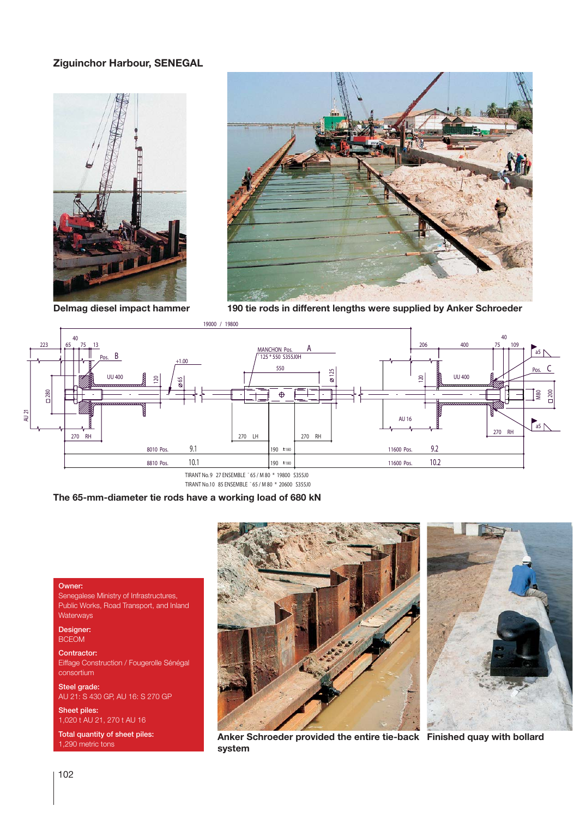## **Ziguinchor Harbour, SENEGAL**





**Delmag diesel impact hammer**

**190 tie rods in different lengths were supplied by Anker Schroeder**



TIRANT No.10 85 ENSEMBLE ¯ 65 / M 80 \* 20600 S355J0

**The 65-mm-diameter tie rods have a working load of 680 kN**

## Owner:

Senegalese Ministry of Infrastructures, Public Works, Road Transport, and Inland **Waterways** 

Designer: BCEOM

Contractor: Eiffage Construction / Fougerolle Sénégal consortium

Steel grade: AU 21: S 430 GP, AU 16: S 270 GP

Sheet piles: 1,020 t AU 21, 270 t AU 16

Total quantity of sheet piles: 1,290 metric tons





**Anker Schroeder provided the entire tie-back Finished quay with bollardsystem**